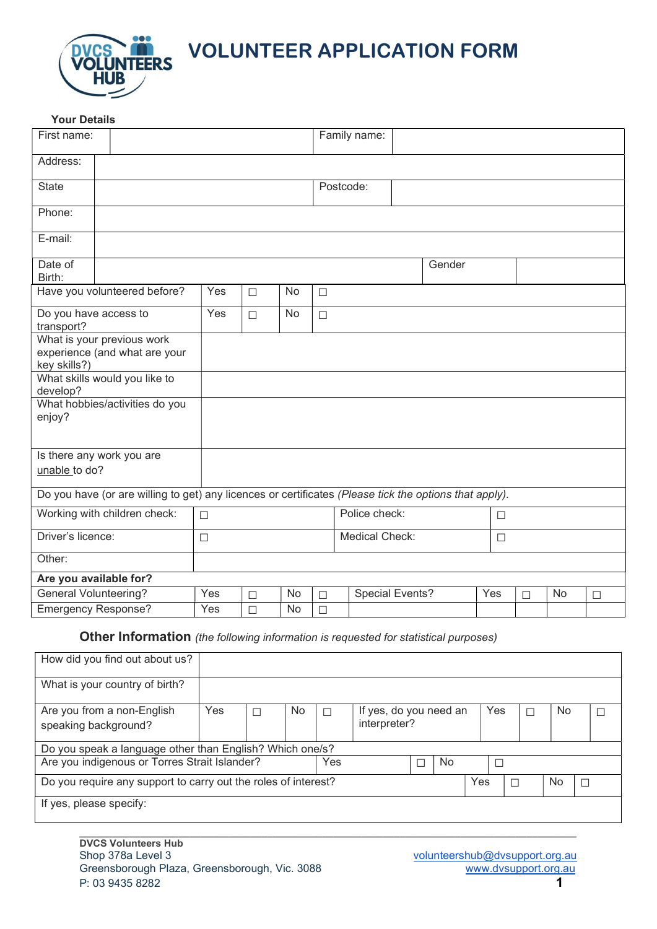

**THE SERVICE VOLUNTEER APPLICATION FORM** 

| <b>Your Details</b>                                                         |                                                                                                        |        |        |                |        |                        |        |        |        |        |    |        |
|-----------------------------------------------------------------------------|--------------------------------------------------------------------------------------------------------|--------|--------|----------------|--------|------------------------|--------|--------|--------|--------|----|--------|
| First name:                                                                 |                                                                                                        |        |        |                |        | Family name:           |        |        |        |        |    |        |
| Address:                                                                    |                                                                                                        |        |        |                |        |                        |        |        |        |        |    |        |
| <b>State</b>                                                                |                                                                                                        |        |        |                |        | Postcode:              |        |        |        |        |    |        |
| Phone:                                                                      |                                                                                                        |        |        |                |        |                        |        |        |        |        |    |        |
| E-mail:                                                                     |                                                                                                        |        |        |                |        |                        |        |        |        |        |    |        |
| Date of<br>Birth:                                                           |                                                                                                        |        |        |                |        |                        |        | Gender |        |        |    |        |
|                                                                             | Have you volunteered before?                                                                           | Yes    | $\Box$ | No             | $\Box$ |                        |        |        |        |        |    |        |
| Do you have access to<br>transport?                                         | Yes                                                                                                    | $\Box$ | No     | $\Box$         |        |                        |        |        |        |        |    |        |
| What is your previous work<br>experience (and what are your<br>key skills?) |                                                                                                        |        |        |                |        |                        |        |        |        |        |    |        |
| What skills would you like to<br>develop?                                   |                                                                                                        |        |        |                |        |                        |        |        |        |        |    |        |
| enjoy?                                                                      | What hobbies/activities do you                                                                         |        |        |                |        |                        |        |        |        |        |    |        |
| Is there any work you are<br>unable to do?                                  |                                                                                                        |        |        |                |        |                        |        |        |        |        |    |        |
|                                                                             | Do you have (or are willing to get) any licences or certificates (Please tick the options that apply). |        |        |                |        |                        |        |        |        |        |    |        |
| Working with children check:                                                |                                                                                                        | $\Box$ |        |                |        | Police check:          |        |        | $\Box$ |        |    |        |
| Driver's licence:<br>$\Box$                                                 |                                                                                                        |        |        | Medical Check: |        |                        | $\Box$ |        |        |        |    |        |
| Other:                                                                      |                                                                                                        |        |        |                |        |                        |        |        |        |        |    |        |
| Are you available for?                                                      |                                                                                                        |        |        |                |        |                        |        |        |        |        |    |        |
| <b>General Volunteering?</b>                                                |                                                                                                        | Yes    | $\Box$ | No             | $\Box$ | <b>Special Events?</b> |        |        | Yes    | $\Box$ | No | $\Box$ |
| <b>Emergency Response?</b>                                                  |                                                                                                        | Yes    | $\Box$ | No             | $\Box$ |                        |        |        |        |        |    |        |

**Other Information** (the following information is requested for statistical purposes)

| How did you find out about us?                                        |                                                          |  |     |     |                        |  |    |  |     |    |  |
|-----------------------------------------------------------------------|----------------------------------------------------------|--|-----|-----|------------------------|--|----|--|-----|----|--|
| What is your country of birth?                                        |                                                          |  |     |     |                        |  |    |  |     |    |  |
| Are you from a non-English                                            | Yes                                                      |  | No. |     | If yes, do you need an |  |    |  | Yes | No |  |
| speaking background?                                                  |                                                          |  |     |     | interpreter?           |  |    |  |     |    |  |
|                                                                       |                                                          |  |     |     |                        |  |    |  |     |    |  |
|                                                                       | Do you speak a language other than English? Which one/s? |  |     |     |                        |  |    |  |     |    |  |
| Are you indigenous or Torres Strait Islander?                         |                                                          |  |     | Yes |                        |  | No |  |     |    |  |
| Do you require any support to carry out the roles of interest?<br>Yes |                                                          |  |     |     |                        |  | No |  |     |    |  |
| If yes, please specify:                                               |                                                          |  |     |     |                        |  |    |  |     |    |  |